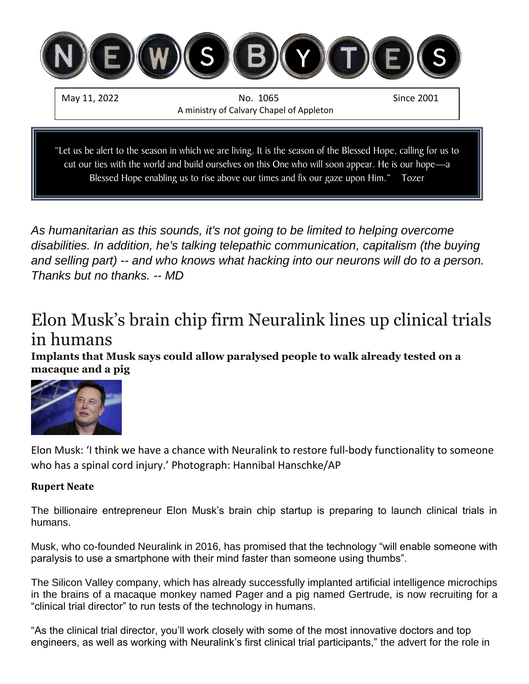

Blessed Hope enabling us to rise above our times and fix our gaze upon Him." Tozer

*As humanitarian as this sounds, it's not going to be limited to helping overcome disabilities. In addition, he's talking telepathic communication, capitalism (the buying and selling part) -- and who knows what hacking into our neurons will do to a person. Thanks but no thanks. -- MD*

# Elon Musk's brain chip firm Neuralink lines up clinical trials in humans

**Implants that Musk says could allow paralysed people to walk already tested on a macaque and a pig**



Elon Musk: 'I think we have a chance with Neuralink to restore full-body functionality to someone who has a spinal cord injury.' Photograph: Hannibal Hanschke/AP

#### **[Rupert](https://www.theguardian.com/profile/rupertneate) Neate**

The billionaire entrepreneur Elon Musk's brain chip startup is preparing to launch clinical trials in humans.

Musk, who co-founded Neuralink in 2016, has [promised](https://twitter.com/elonmusk/status/1380315654524301315?ref_src=twsrc%5Etfw) that the technology "will enable someone with paralysis to use a smartphone with their mind faster than someone using thumbs".

The Silicon Valley company, which has already successfully implanted artificial intelligence microchips in the brains of a [macaque](https://www.youtube.com/watch?v=rsCul1sp4hQ) monkey named Pager and a pig named [Gertrude,](https://www.youtube.com/watch?v=iSutodqCZ74&t=3s) is now recruiting for a "clinical trial director" to run tests of the technology in humans.

"As the clinical trial director, you'll work closely with some of the most innovative doctors and top engineers, as well as working with Neuralink's first clinical trial participants," the [advert](https://boards.greenhouse.io/neuralink/jobs/4723041003) for the role in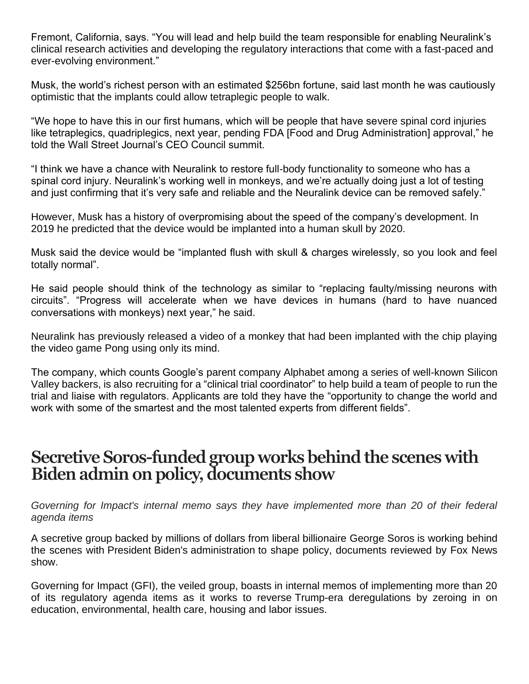Fremont, California, says. "You will lead and help build the team responsible for enabling Neuralink's clinical research activities and developing the regulatory interactions that come with a fast-paced and ever-evolving environment."

Musk, the world's richest person with an estimated \$256bn fortune, said last month he was cautiously optimistic that the implants could allow tetraplegic people to walk.

"We hope to have this in our first humans, which will be people that have severe spinal cord injuries like tetraplegics, quadriplegics, next year, pending FDA [Food and Drug Administration] approval," he told the Wall Street Journal's CEO Council summit.

"I think we have a chance with Neuralink to restore full-body functionality to someone who has a spinal cord injury. Neuralink's working well in monkeys, and we're actually doing just a lot of testing and just confirming that it's very safe and reliable and the Neuralink device can be removed safely."

However, Musk has a history of overpromising about the speed of the company's development. In 2019 he predicted that the device would be implanted into a human skull by 2020.

Musk said the device would be "implanted flush with skull & charges wirelessly, so you look and feel totally normal".

He said people should think of the technology as similar to "replacing faulty/missing neurons with circuits". "Progress will accelerate when we have devices in humans (hard to have nuanced conversations with monkeys) next year," he [said.](https://twitter.com/elonmusk/status/1468070398369701890?ref_src=twsrc%5Etfw)

Neuralink has previously released a video of a monkey that had been implanted with the chip playing the video game Pong using only its mind.

The company, which counts Google's parent company Alphabet among a series of well-known Silicon Valley backers, is also recruiting for a "clinical trial [coordinator"](https://boards.greenhouse.io/neuralink/jobs/4721556003) to help build a team of people to run the trial and liaise with regulators. Applicants are told they have the "opportunity to change the world and work with some of the smartest and the most talented experts from different fields".

### **Secretive Soros-funded group works behind the scenes with Biden admin on policy, documents show**

*Governing for Impact's internal memo says they have implemented more than 20 of their federal agenda items*

A secretive group backed by millions of dollars from liberal billionaire [George](https://www.foxnews.com/category/person/george-soros) Soros is working behind the scenes with President Biden's [administration](https://www.foxnews.com/category/person/joe-biden) to shape policy, documents reviewed by Fox News show.

Governing for Impact (GFI), the veiled group, boasts in internal memos of implementing more than 20 of its regulatory agenda items as it works to reverse [Trump-](https://www.foxnews.com/category/person/donald-trump)era deregulations by zeroing in on education, environmental, health care, housing and labor issues.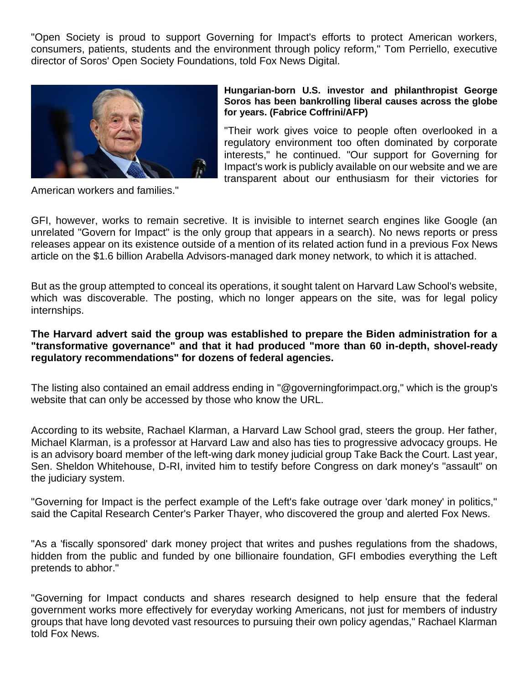"Open Society is proud to support Governing for Impact's efforts to protect American workers, consumers, patients, students and the environment through policy reform," Tom Perriello, executive director of Soros' Open Society Foundations, told Fox News Digital.



American workers and families."

#### **Hungarian-born U.S. investor and philanthropist George Soros has been bankrolling liberal causes across the globe for years. (Fabrice Coffrini/AFP)**

"Their work gives voice to people often overlooked in a regulatory environment too often dominated by corporate interests," he continued. "Our support for Governing for Impact's work is publicly available on our website and we are transparent about our enthusiasm for their victories for

GFI, however, works to remain secretive. It is invisible to internet search engines like Google (an unrelated "Govern for Impact" is the only group that appears in a search). No news reports or press releases appear on its existence outside of a mention of its related action fund in a [previous](https://www.foxnews.com/politics/dem-dark-money-juggernaut-raises-1-6-billion-flood-liberal-groups-cash-tax-forms) Fox News article on the \$1.6 billion Arabella Advisors-managed dark money network, to which it is attached.

But as the group attempted to conceal its operations, it sought talent on Harvard Law School's website, which was discoverable. The posting, which no longer [appears](https://hls.harvard.edu/legal-intern-governing-for-impact/) on the site, was for legal policy internships.

#### **The Harvard advert said the group was established to prepare the Biden administration for a "transformative governance" and that it had produced "more than 60 in-depth, shovel-ready regulatory recommendations" for dozens of federal agencies.**

The listing also contained an email address ending in "@governingforimpact.org," which is the [group's](https://governingforimpact.org/) [website](https://governingforimpact.org/) that can only be accessed by those who know the URL.

According to its website, Rachael Klarman, a Harvard Law School grad, steers the group. Her father, Michael Klarman, is a professor at Harvard Law and also has ties to progressive advocacy groups. He is an advisory board [member](https://www.takebackthecourtfoundation.org/board) of the left-wing dark money judicial group Take Back the Court. Last year, Sen. Sheldon Whitehouse, D-RI, [invited](https://freebeacon.com/democrats/sheldon-whitehouse-invited-liberal-dark-money-critics-to-a-hearing-they-all-take-dark-money/) him to testify before Congress on dark money's "assault" on the judiciary system.

"Governing for Impact is the perfect example of the Left's fake outrage over 'dark money' in politics," said the Capital Research Center's Parker Thayer, who discovered the group and alerted Fox News.

"As a 'fiscally sponsored' dark money project that writes and pushes regulations from the shadows, hidden from the public and funded by one billionaire foundation, GFI embodies everything the Left pretends to abhor."

"Governing for Impact conducts and shares research designed to help ensure that the federal government works more effectively for everyday working Americans, not just for members of industry groups that have long devoted vast resources to pursuing their own policy agendas," Rachael Klarman told Fox News.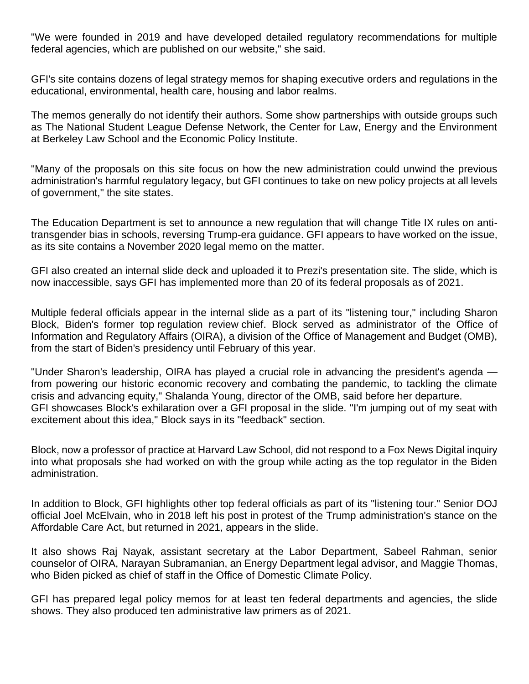"We were founded in 2019 and have developed detailed regulatory recommendations for multiple federal agencies, which are published on our website," she said.

GFI's site [contains](https://governingforimpact.org/our-work/) dozens of legal strategy memos for shaping executive [orders](https://www.foxnews.com/category/politics/biden-executive-orders) and regulations in the educational, environmental, health care, housing and labor realms.

The memos generally do not identify their authors. Some show partnerships with outside groups such as The National Student League Defense Network, the Center for Law, Energy and the Environment at Berkeley Law School and the Economic Policy Institute.

"Many of the proposals on this site focus on how the new administration could unwind the previous administration's harmful regulatory legacy, but GFI continues to take on new policy projects at all levels of government," the site states.

The Education Department is set to [announce](https://www.washingtonpost.com/education/2022/03/30/transgender-discrimination-title-ix-rule-students/) a new regulation that will change Title IX rules on antitransgender bias in schools, reversing Trump-era guidance. GFI appears to have worked on the issue, as its site contains a November 2020 legal [memo](https://govforimpact.wpengine.com/wp-content/uploads/2021/07/04_Protecting-the-Rights-of-LGBTQ-Students-under-Title-IX.pdf) on the matter.

GFI also created an internal slide deck and uploaded it to Prezi's presentation site. The slide, which is now inaccessible, says GFI has implemented more than 20 of its federal proposals as of 2021.

Multiple federal officials appear in the internal slide as a part of its "listening tour," including Sharon Block, Biden's former top [regulation](https://news.bloomberglaw.com/daily-labor-report/sharon-block-union-ally-who-led-biden-regulation-office-leaves) review chief. Block served as administrator of the Office of Information and Regulatory Affairs (OIRA), a division of the Office of Management and Budget (OMB), from the start of Biden's presidency until February of this year.

"Under Sharon's leadership, OIRA has played a crucial role in advancing the president's agenda from powering our historic economic recovery and combating the pandemic, to tackling the climate crisis and advancing equity," Shalanda Young, director of the OMB, [said](https://www.eenews.net/articles/white-house-acting-regulations-director-to-depart/) before her departure. GFI showcases Block's exhilaration over a GFI proposal in the slide. "I'm jumping out of my seat with excitement about this idea," Block says in its "feedback" section.

Block, now a professor of practice at Harvard Law School, did not respond to a Fox News Digital inquiry into what proposals she had worked on with the group while acting as the top regulator in the Biden administration.

In addition to Block, GFI highlights other top federal officials as part of its "listening tour." Senior DOJ official Joel McElvain, who in 2018 left his post in protest of the Trump administration's stance on the Affordable Care Act, but [returned](https://www.buzzfeednews.com/article/zoetillman/trump-justice-department-official-return) in 2021, appears in the slide.

It also shows Raj Nayak, assistant secretary at the Labor Department, Sabeel Rahman, senior counselor of OIRA, Narayan Subramanian, an Energy Department legal advisor, and Maggie Thomas, who Biden [picked](https://environment.yale.edu/news/article/maggie-thomas-white-house-office-of-domestic-climate-policy) as chief of staff in the Office of Domestic Climate Policy.

GFI has prepared legal policy memos for at least ten federal departments and agencies, the slide shows. They also produced ten administrative law primers as of 2021.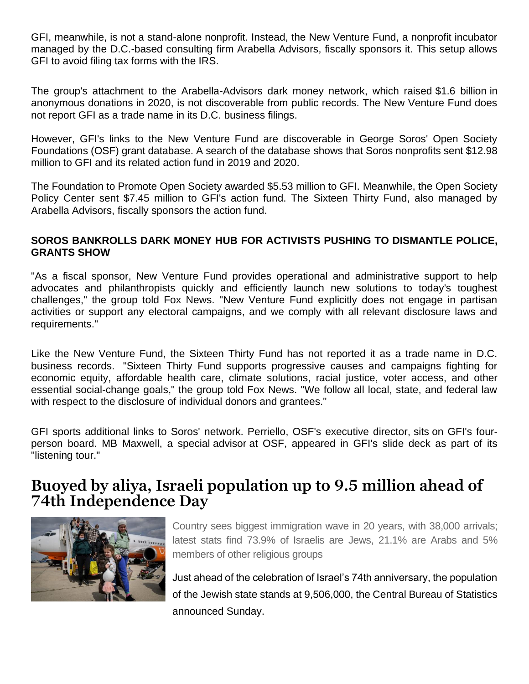GFI, meanwhile, is not a stand-alone nonprofit. Instead, the New Venture Fund, a nonprofit incubator managed by the D.C.-based consulting firm Arabella Advisors, fiscally sponsors it. This setup allows GFI to avoid filing tax forms with the IRS.

The group's attachment to the Arabella-Advisors dark money network, which raised \$1.6 [billion](https://www.foxnews.com/politics/dem-dark-money-juggernaut-raises-1-6-billion-flood-liberal-groups-cash-tax-forms) in anonymous donations in 2020, is not discoverable from public records. The New Venture Fund does not report GFI as a trade name in its D.C. business filings.

However, GFI's links to the New Venture Fund are discoverable in George Soros' Open Society Foundations (OSF) grant database. A search of the database [shows](https://www.opensocietyfoundations.org/grants/past) that Soros nonprofits sent \$12.98 million to GFI and its related action fund in 2019 and 2020.

The Foundation to Promote Open Society awarded \$5.53 million to GFI. Meanwhile, the Open Society Policy Center sent \$7.45 million to GFI's action fund. The Sixteen Thirty Fund, also managed by Arabella Advisors, fiscally sponsors the action fund.

#### **SOROS [BANKROLLS](https://www.foxnews.com/politics/soros-bankrolls-dark-money-hub-activists-dismantle-police) DARK MONEY HUB FOR ACTIVISTS PUSHING TO DISMANTLE POLICE, [GRANTS](https://www.foxnews.com/politics/soros-bankrolls-dark-money-hub-activists-dismantle-police) SHOW**

"As a fiscal sponsor, New Venture Fund provides operational and administrative support to help advocates and philanthropists quickly and efficiently launch new solutions to today's toughest challenges," the group told Fox News. "New Venture Fund explicitly does not engage in partisan activities or support any electoral campaigns, and we comply with all relevant disclosure laws and requirements."

Like the New Venture Fund, the Sixteen Thirty Fund has not reported it as a trade name in D.C. business records. "Sixteen Thirty Fund supports progressive causes and campaigns fighting for economic equity, affordable health care, climate solutions, racial justice, voter access, and other essential social-change goals," the group told Fox News. "We follow all local, state, and federal law with respect to the disclosure of individual donors and grantees."

GFI sports additional links to Soros' network. Perriello, OSF's executive director, [sits](https://governingforimpact.org/about/) on GFI's fourperson board. MB Maxwell, a special [advisor](https://www.linkedin.com/in/mary-beth-maxwell-8a7763b3) at OSF, appeared in GFI's slide deck as part of its "listening tour."

### **Buoyed by aliya, Israeli population up to 9.5 million ahead of 74th Independence Day**



Country sees biggest immigration wave in 20 years, with 38,000 arrivals; latest stats find 73.9% of Israelis are Jews, 21.1% are Arabs and 5% members of other religious groups

Just ahead of the celebration of Israel's 74th anniversary, the population of the Jewish state stands at 9,506,000, the Central Bureau of Statistics announced Sunday.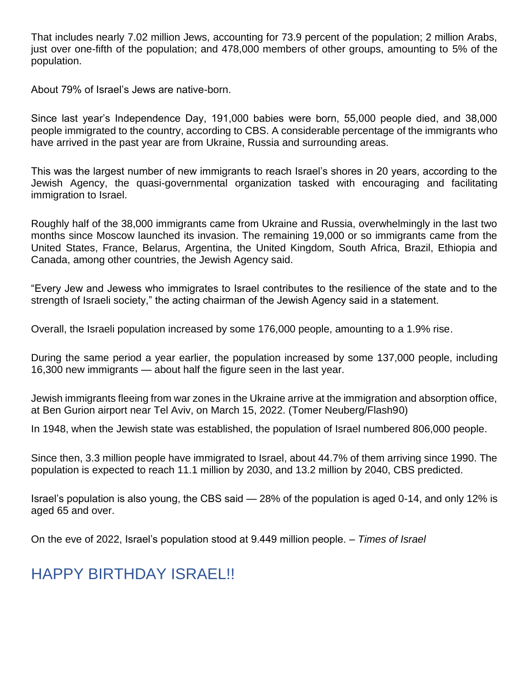That includes nearly 7.02 million Jews, accounting for 73.9 percent of the population; 2 million Arabs, just over one-fifth of the population; and 478,000 members of other groups, amounting to 5% of the population.

About 79% of Israel's Jews are native-born.

Since last year's Independence Day, 191,000 babies were born, 55,000 people died, and 38,000 people immigrated to the country, according to CBS. A considerable percentage of the immigrants who have arrived in the past year are from Ukraine, Russia and surrounding areas.

This was the largest number of new immigrants to reach Israel's shores in 20 years, according to the Jewish Agency, the quasi-governmental organization tasked with encouraging and facilitating immigration to Israel.

Roughly half of the 38,000 immigrants came from Ukraine and Russia, overwhelmingly in the last two months since Moscow launched its invasion. The remaining 19,000 or so immigrants came from the United States, France, Belarus, Argentina, the United Kingdom, South Africa, Brazil, Ethiopia and Canada, among other countries, the Jewish Agency said.

"Every Jew and Jewess who immigrates to Israel contributes to the resilience of the state and to the strength of Israeli society," the acting chairman of the Jewish Agency said in a statement.

Overall, the Israeli population increased by some 176,000 people, amounting to a 1.9% rise.

During the same period a year earlier, the population increased by some 137,000 people, including 16,300 new immigrants — about half the figure seen in the last year.

Jewish immigrants fleeing from war zones in the Ukraine arrive at the immigration and absorption office, at Ben Gurion airport near Tel Aviv, on March 15, 2022. (Tomer Neuberg/Flash90)

In 1948, when the Jewish state was established, the population of Israel numbered 806,000 people.

Since then, 3.3 million people have immigrated to Israel, about 44.7% of them arriving since 1990. The population is expected to reach 11.1 million by 2030, and 13.2 million by 2040, CBS predicted.

Israel's population is also young, the CBS said — 28% of the population is aged 0-14, and only 12% is aged 65 and over.

On the eve of [2022,](https://www.timesofisrael.com/israel-approaches-9-5-million-residents-on-eve-of-2022/) Israel's population stood at 9.449 million people. – *Times of Israel*

### HAPPY BIRTHDAY ISRAEL!!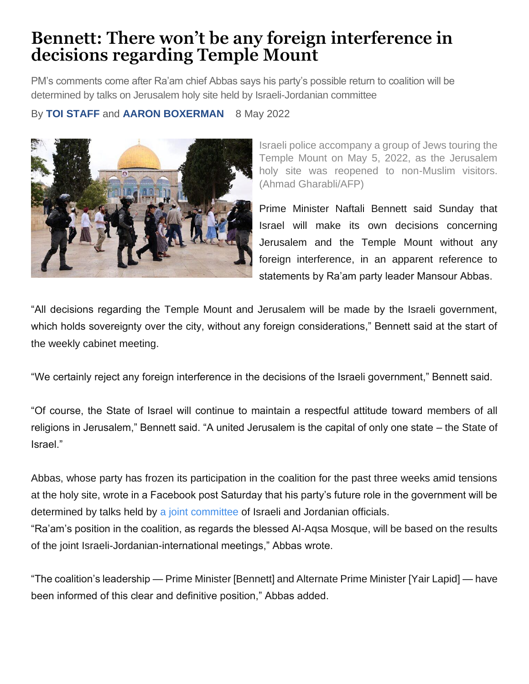## **Bennett: There won't be any foreign interference in decisions regarding Temple Mount**

PM's comments come after Ra'am chief Abbas says his party's possible return to coalition will be determined by talks on Jerusalem holy site held by Israeli-Jordanian committee

By **TOI [STAFF](https://www.timesofisrael.com/writers/times-of-israel-staff/)** and **AARON [BOXERMAN](https://www.timesofisrael.com/writers/aaron-boxerman/)** 8 May 2022



Israeli police accompany a group of Jews touring the Temple Mount on May 5, 2022, as the Jerusalem holy site was reopened to non-Muslim visitors. (Ahmad Gharabli/AFP)

Prime Minister Naftali Bennett said Sunday that Israel will make its own decisions concerning Jerusalem and the Temple Mount without any foreign interference, in an apparent reference to statements by Ra'am party leader Mansour Abbas.

"All decisions regarding the Temple Mount and Jerusalem will be made by the Israeli government, which holds sovereignty over the city, without any foreign considerations," Bennett said at the start of the weekly cabinet meeting.

"We certainly reject any foreign interference in the decisions of the Israeli government," Bennett said.

"Of course, the State of Israel will continue to maintain a respectful attitude toward members of all religions in Jerusalem," Bennett said. "A united Jerusalem is the capital of only one state – the State of Israel."

Abbas, whose party has frozen its participation in the coalition for the past three weeks amid tensions at the holy site, wrote in a Facebook post Saturday that his party's future role in the government will be determined by talks held by a joint [committee](https://www.timesofisrael.com/israel-jordan-to-convene-joint-panel-on-lowering-temple-mount-tensions-report/) of Israeli and Jordanian officials.

"Ra'am's position in the coalition, as regards the blessed Al-Aqsa Mosque, will be based on the results of the joint Israeli-Jordanian-international meetings," Abbas wrote.

"The coalition's leadership — Prime Minister [Bennett] and Alternate Prime Minister [Yair Lapid] — have been informed of this clear and definitive position," Abbas added.